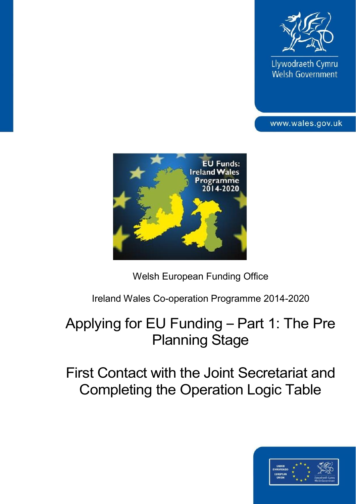

Llywodraeth Cymru Welsh Government

www.wales.gov.uk



Welsh European Funding Office

Ireland Wales Co-operation Programme 2014-2020

# Applying for EU Funding – Part 1: The Pre Planning Stage

First Contact with the Joint Secretariat and Completing the Operation Logic Table

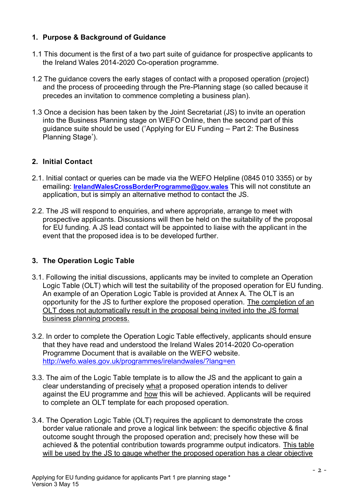## **1. Purpose & Background of Guidance**

- 1.1 This document is the first of a two part suite of guidance for prospective applicants to the Ireland Wales 2014-2020 Co-operation programme.
- 1.2 The guidance covers the early stages of contact with a proposed operation (project) and the process of proceeding through the Pre-Planning stage (so called because it precedes an invitation to commence completing a business plan).
- 1.3 Once a decision has been taken by the Joint Secretariat (JS) to invite an operation into the Business Planning stage on WEFO Online, then the second part of this guidance suite should be used ('Applying for EU Funding – Part 2: The Business Planning Stage').

# **2. Initial Contact**

- 2.1. Initial contact or queries can be made via the WEFO Helpline (0845 010 3355) or by emailing: **[IrelandWalesCrossBorderProgramme@gov.wales](mailto:IrelandWalesCrossBorderProgramme@gov.wales)** This will not constitute an application, but is simply an alternative method to contact the JS.
- 2.2. The JS will respond to enquiries, and where appropriate, arrange to meet with prospective applicants. Discussions will then be held on the suitability of the proposal for EU funding. A JS lead contact will be appointed to liaise with the applicant in the event that the proposed idea is to be developed further.

# **3. The Operation Logic Table**

- 3.1. Following the initial discussions, applicants may be invited to complete an Operation Logic Table (OLT) which will test the suitability of the proposed operation for EU funding. An example of an Operation Logic Table is provided at Annex A. The OLT is an opportunity for the JS to further explore the proposed operation. The completion of an OLT does not automatically result in the proposal being invited into the JS formal business planning process.
- 3.2. In order to complete the Operation Logic Table effectively, applicants should ensure that they have read and understood the Ireland Wales 2014-2020 Co-operation Programme Document that is available on the WEFO website. <http://wefo.wales.gov.uk/programmes/irelandwales/?lang=en>
- 3.3. The aim of the Logic Table template is to allow the JS and the applicant to gain a clear understanding of precisely what a proposed operation intends to deliver against the EU programme and how this will be achieved. Applicants will be required to complete an OLT template for each proposed operation.
- 3.4. The Operation Logic Table (OLT) requires the applicant to demonstrate the cross border value rationale and prove a logical link between: the specific objective & final outcome sought through the proposed operation and; precisely how these will be achieved & the potential contribution towards programme output indicators. This table will be used by the JS to gauge whether the proposed operation has a clear objective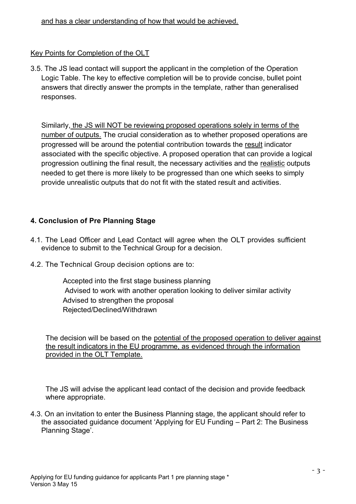#### and has a clear understanding of how that would be achieved.

## Key Points for Completion of the OLT

3.5. The JS lead contact will support the applicant in the completion of the Operation Logic Table. The key to effective completion will be to provide concise, bullet point answers that directly answer the prompts in the template, rather than generalised responses.

Similarly, the JS will NOT be reviewing proposed operations solely in terms of the number of outputs. The crucial consideration as to whether proposed operations are progressed will be around the potential contribution towards the result indicator associated with the specific objective. A proposed operation that can provide a logical progression outlining the final result, the necessary activities and the realistic outputs needed to get there is more likely to be progressed than one which seeks to simply provide unrealistic outputs that do not fit with the stated result and activities.

#### **4. Conclusion of Pre Planning Stage**

- 4.1. The Lead Officer and Lead Contact will agree when the OLT provides sufficient evidence to submit to the Technical Group for a decision.
- 4.2. The Technical Group decision options are to:

Accepted into the first stage business planning Advised to work with another operation looking to deliver similar activity Advised to strengthen the proposal Rejected/Declined/Withdrawn

The decision will be based on the potential of the proposed operation to deliver against the result indicators in the EU programme, as evidenced through the information provided in the OLT Template.

The JS will advise the applicant lead contact of the decision and provide feedback where appropriate.

4.3. On an invitation to enter the Business Planning stage, the applicant should refer to the associated guidance document 'Applying for EU Funding – Part 2: The Business Planning Stage'.